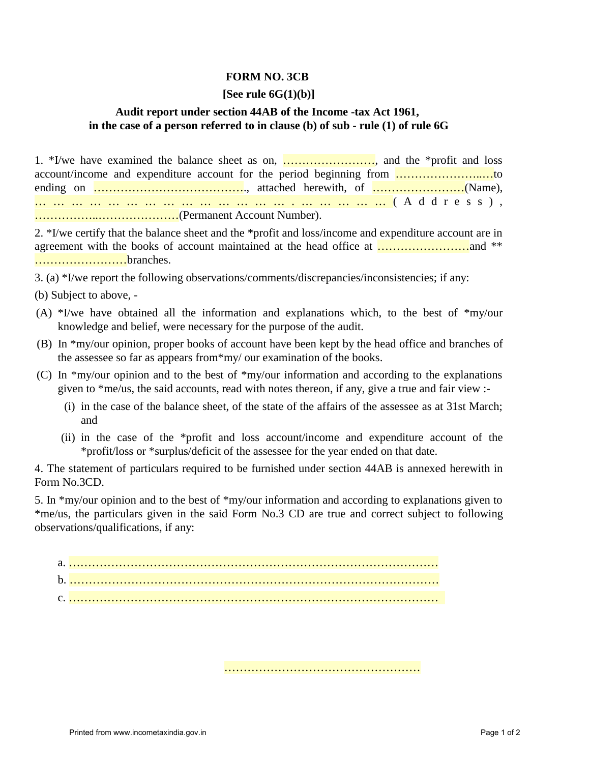## **FORM NO. 3CB**

## **[See rule 6G(1)(b)]**

## **Audit report under section 44AB of the Income -tax Act 1961, in the case of a person referred to in clause (b) of sub - rule (1) of rule 6G**

1. \*I/we have examined the balance sheet as on, ……………………, and the \*profit and loss account/income and expenditure account for the period beginning from …………………..…to ending on …………………………………., attached herewith, of ……………………(Name), …………………………………….… …………(Address), ……………..…………………(Permanent Account Number).

2. \*I/we certify that the balance sheet and the \*profit and loss/income and expenditure account are in agreement with the books of account maintained at the head office at ……………………and \*\* ……………………branches.

3. (a) \*I/we report the following observations/comments/discrepancies/inconsistencies; if any:

- (b) Subject to above, -
- (A) \*I/we have obtained all the information and explanations which, to the best of \*my/our knowledge and belief, were necessary for the purpose of the audit.
- (B) In \*my/our opinion, proper books of account have been kept by the head office and branches of the assessee so far as appears from\*my/ our examination of the books.
- (C) In \*my/our opinion and to the best of \*my/our information and according to the explanations given to \*me/us, the said accounts, read with notes thereon, if any, give a true and fair view :-
	- (i) in the case of the balance sheet, of the state of the affairs of the assessee as at 31st March; and
	- (ii) in the case of the \*profit and loss account/income and expenditure account of the \*profit/loss or \*surplus/deficit of the assessee for the year ended on that date.

……………………………………………

4. The statement of particulars required to be furnished under section 44AB is annexed herewith in Form No.3CD.

5. In \*my/our opinion and to the best of \*my/our information and according to explanations given to \*me/us, the particulars given in the said Form No.3 CD are true and correct subject to following observations/qualifications, if any: